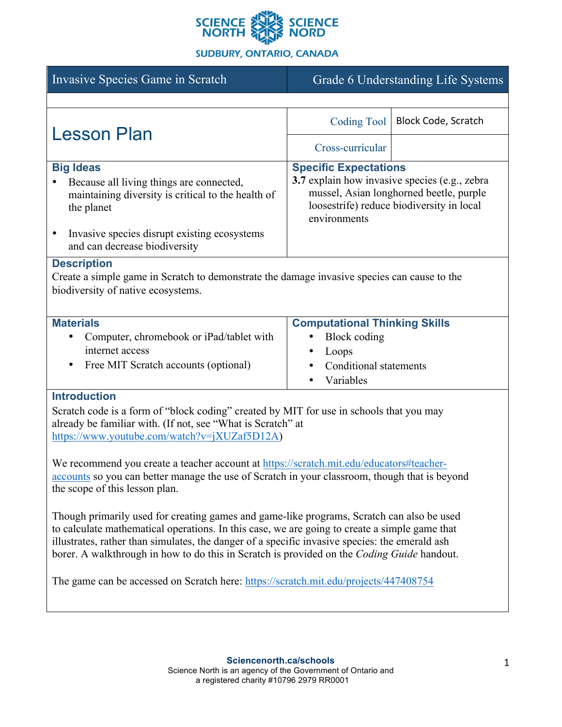

# **SUDBURY, ONTARIO, CANADA**

| Invasive Species Game in Scratch                                                                                                                                                                                                                                                                                                                                                                                                                                                                                                                                                                                                                                                                                                                                                                                                                                                                                                                  | Grade 6 Understanding Life Systems                                                                                                                                                    |                            |
|---------------------------------------------------------------------------------------------------------------------------------------------------------------------------------------------------------------------------------------------------------------------------------------------------------------------------------------------------------------------------------------------------------------------------------------------------------------------------------------------------------------------------------------------------------------------------------------------------------------------------------------------------------------------------------------------------------------------------------------------------------------------------------------------------------------------------------------------------------------------------------------------------------------------------------------------------|---------------------------------------------------------------------------------------------------------------------------------------------------------------------------------------|----------------------------|
|                                                                                                                                                                                                                                                                                                                                                                                                                                                                                                                                                                                                                                                                                                                                                                                                                                                                                                                                                   |                                                                                                                                                                                       |                            |
| <b>Lesson Plan</b>                                                                                                                                                                                                                                                                                                                                                                                                                                                                                                                                                                                                                                                                                                                                                                                                                                                                                                                                | <b>Coding Tool</b>                                                                                                                                                                    | <b>Block Code, Scratch</b> |
|                                                                                                                                                                                                                                                                                                                                                                                                                                                                                                                                                                                                                                                                                                                                                                                                                                                                                                                                                   | Cross-curricular                                                                                                                                                                      |                            |
| <b>Big Ideas</b><br>Because all living things are connected,<br>maintaining diversity is critical to the health of<br>the planet<br>Invasive species disrupt existing ecosystems<br>٠<br>and can decrease biodiversity                                                                                                                                                                                                                                                                                                                                                                                                                                                                                                                                                                                                                                                                                                                            | <b>Specific Expectations</b><br>3.7 explain how invasive species (e.g., zebra<br>mussel, Asian longhorned beetle, purple<br>loosestrife) reduce biodiversity in local<br>environments |                            |
| <b>Description</b><br>Create a simple game in Scratch to demonstrate the damage invasive species can cause to the<br>biodiversity of native ecosystems.                                                                                                                                                                                                                                                                                                                                                                                                                                                                                                                                                                                                                                                                                                                                                                                           |                                                                                                                                                                                       |                            |
|                                                                                                                                                                                                                                                                                                                                                                                                                                                                                                                                                                                                                                                                                                                                                                                                                                                                                                                                                   |                                                                                                                                                                                       |                            |
| <b>Materials</b><br>Computer, chromebook or iPad/tablet with<br>internet access<br>Free MIT Scratch accounts (optional)<br>$\bullet$                                                                                                                                                                                                                                                                                                                                                                                                                                                                                                                                                                                                                                                                                                                                                                                                              | <b>Computational Thinking Skills</b><br>Block coding<br>٠<br>Loops<br>Conditional statements<br>Variables                                                                             |                            |
| <b>Introduction</b><br>Scratch code is a form of "block coding" created by MIT for use in schools that you may<br>already be familiar with. (If not, see "What is Scratch" at<br>https://www.youtube.com/watch?v=jXUZaf5D12A)<br>We recommend you create a teacher account at https://scratch.mit.edu/educators#teacher-<br>accounts so you can better manage the use of Scratch in your classroom, though that is beyond<br>the scope of this lesson plan.<br>Though primarily used for creating games and game-like programs, Scratch can also be used<br>to calculate mathematical operations. In this case, we are going to create a simple game that<br>illustrates, rather than simulates, the danger of a specific invasive species: the emerald ash<br>borer. A walkthrough in how to do this in Scratch is provided on the Coding Guide handout.<br>The game can be accessed on Scratch here: https://scratch.mit.edu/projects/447408754 |                                                                                                                                                                                       |                            |